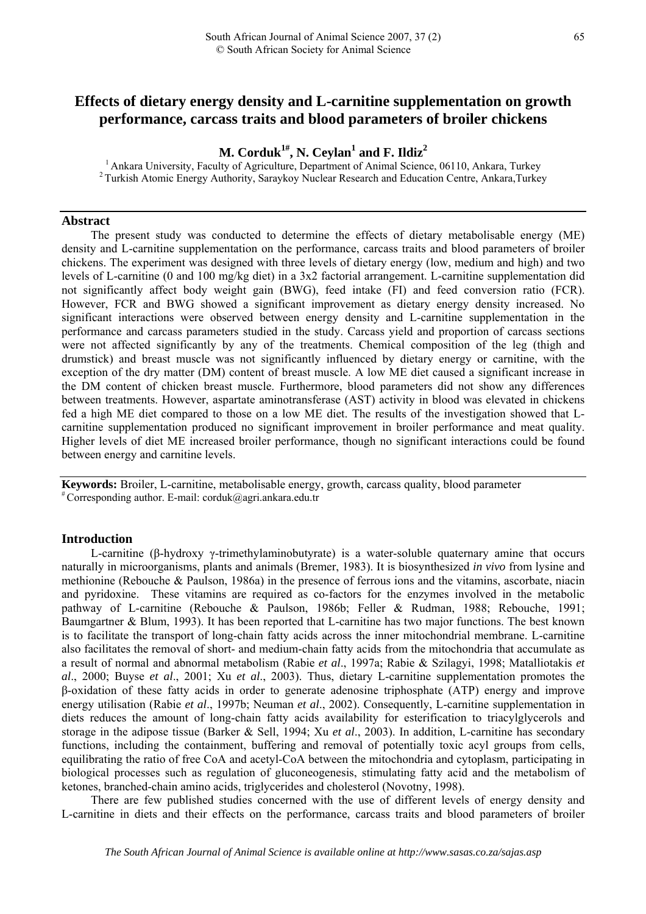# **Effects of dietary energy density and L-carnitine supplementation on growth performance, carcass traits and blood parameters of broiler chickens**

 $M$ . Corduk<sup>1#</sup>, N. Ceylan<sup>1</sup> and F. Ildiz<sup>2</sup>

<sup>1</sup> Ankara University, Faculty of Agriculture, Department of Animal Science, 06110, Ankara, Turkey  $\frac{1}{2}$  Turkish Atomic Energy Authority, Saraykoy Nuclear Research and Education Centre, Ankara,Turkey

### **Abstract**

The present study was conducted to determine the effects of dietary metabolisable energy (ME) density and L-carnitine supplementation on the performance, carcass traits and blood parameters of broiler chickens. The experiment was designed with three levels of dietary energy (low, medium and high) and two levels of L-carnitine (0 and 100 mg/kg diet) in a 3x2 factorial arrangement. L-carnitine supplementation did not significantly affect body weight gain (BWG), feed intake (FI) and feed conversion ratio (FCR). However, FCR and BWG showed a significant improvement as dietary energy density increased. No significant interactions were observed between energy density and L-carnitine supplementation in the performance and carcass parameters studied in the study. Carcass yield and proportion of carcass sections were not affected significantly by any of the treatments. Chemical composition of the leg (thigh and drumstick) and breast muscle was not significantly influenced by dietary energy or carnitine, with the exception of the dry matter (DM) content of breast muscle. A low ME diet caused a significant increase in the DM content of chicken breast muscle. Furthermore, blood parameters did not show any differences between treatments. However, aspartate aminotransferase (AST) activity in blood was elevated in chickens fed a high ME diet compared to those on a low ME diet. The results of the investigation showed that Lcarnitine supplementation produced no significant improvement in broiler performance and meat quality. Higher levels of diet ME increased broiler performance, though no significant interactions could be found between energy and carnitine levels.

**Keywords:** Broiler, L-carniti[ne, metabolisable energy](mailto:corduk@agri.ankara.edu.tr), growth, carcass quality, blood parameter # Corresponding author. E-mail: [corduk@agri.ankara.edu.tr](mailto:corduk@agri.ankara.edu.tr)

#### **Introduction**

L-carnitine (β-hydroxy γ-trimethylaminobutyrate) is a water-soluble quaternary amine that occurs naturally in microorganisms, plants and animals (Bremer, 1983). It is biosynthesized *in vivo* from lysine and methionine (Rebouche & Paulson, 1986a) in the presence of ferrous ions and the vitamins, ascorbate, niacin and pyridoxine. These vitamins are required as co-factors for the enzymes involved in the metabolic pathway of L-carnitine (Rebouche & Paulson, 1986b; Feller & Rudman, 1988; Rebouche, 1991; Baumgartner & Blum, 1993). It has been reported that L-carnitine has two major functions. The best known is to facilitate the transport of long-chain fatty acids across the inner mitochondrial membrane. L-carnitine also facilitates the removal of short- and medium-chain fatty acids from the mitochondria that accumulate as a result of normal and abnormal metabolism (Rabie *et al*., 1997a; Rabie & Szilagyi, 1998; Matalliotakis *et al*., 2000; Buyse *et al*., 2001; Xu *et al*., 2003). Thus, dietary L-carnitine supplementation promotes the β-oxidation of these fatty acids in order to generate adenosine triphosphate (ATP) energy and improve energy utilisation (Rabie *et al*., 1997b; Neuman *et al*., 2002). Consequently, L-carnitine supplementation in diets reduces the amount of long-chain fatty acids availability for esterification to triacylglycerols and storage in the adipose tissue (Barker & Sell, 1994; Xu *et al*., 2003). In addition, L-carnitine has secondary functions, including the containment, buffering and removal of potentially toxic acyl groups from cells, equilibrating the ratio of free CoA and acetyl-CoA between the mitochondria and cytoplasm, participating in biological processes such as regulation of gluconeogenesis, stimulating fatty acid and the metabolism of ketones, branched-chain amino acids, triglycerides and cholesterol (Novotny, 1998).

There are few published studies concerned with the use of different levels of energy density and L-carnitine in diets and their effects on the performance, carcass traits and blood parameters of broiler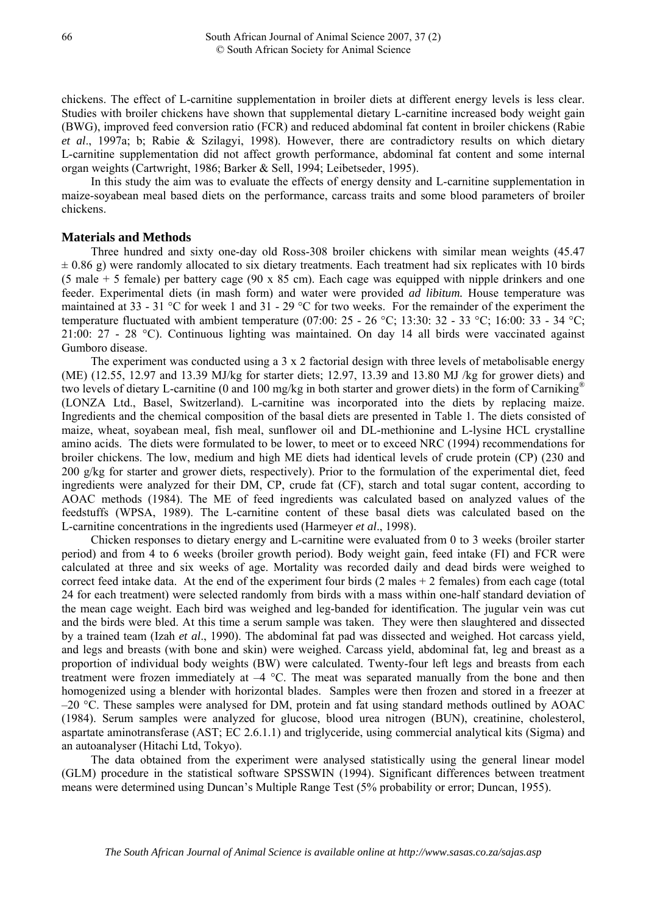chickens. The effect of L-carnitine supplementation in broiler diets at different energy levels is less clear. Studies with broiler chickens have shown that supplemental dietary L-carnitine increased body weight gain (BWG), improved feed conversion ratio (FCR) and reduced abdominal fat content in broiler chickens (Rabie *et al*., 1997a; b; Rabie & Szilagyi, 1998). However, there are contradictory results on which dietary L-carnitine supplementation did not affect growth performance, abdominal fat content and some internal organ weights (Cartwright, 1986; Barker & Sell, 1994; Leibetseder, 1995).

In this study the aim was to evaluate the effects of energy density and L-carnitine supplementation in maize-soyabean meal based diets on the performance, carcass traits and some blood parameters of broiler chickens.

## **Materials and Methods**

Three hundred and sixty one-day old Ross-308 broiler chickens with similar mean weights (45.47  $\pm$  0.86 g) were randomly allocated to six dietary treatments. Each treatment had six replicates with 10 birds (5 male + 5 female) per battery cage (90 x 85 cm). Each cage was equipped with nipple drinkers and one feeder. Experimental diets (in mash form) and water were provided *ad libitum.* House temperature was maintained at 33 - 31 °C for week 1 and 31 - 29 °C for two weeks. For the remainder of the experiment the temperature fluctuated with ambient temperature (07:00:  $25 - 26$  °C; 13:30:  $32 - 33$  °C; 16:00:  $33 - 34$  °C; 21:00: 27 - 28 °C). Continuous lighting was maintained. On day 14 all birds were vaccinated against Gumboro disease.

The experiment was conducted using a 3 x 2 factorial design with three levels of metabolisable energy (ME) (12.55, 12.97 and 13.39 MJ/kg for starter diets; 12.97, 13.39 and 13.80 MJ /kg for grower diets) and two levels of dietary L-carnitine (0 and 100 mg/kg in both starter and grower diets) in the form of Carniking<sup>®</sup> (LONZA Ltd., Basel, Switzerland). L-carnitine was incorporated into the diets by replacing maize. Ingredients and the chemical composition of the basal diets are presented in Table 1. The diets consisted of maize, wheat, soyabean meal, fish meal, sunflower oil and DL-methionine and L-lysine HCL crystalline amino acids. The diets were formulated to be lower, to meet or to exceed NRC (1994) recommendations for broiler chickens. The low, medium and high ME diets had identical levels of crude protein (CP) (230 and 200 g/kg for starter and grower diets, respectively). Prior to the formulation of the experimental diet, feed ingredients were analyzed for their DM, CP, crude fat (CF), starch and total sugar content, according to AOAC methods (1984). The ME of feed ingredients was calculated based on analyzed values of the feedstuffs (WPSA, 1989). The L-carnitine content of these basal diets was calculated based on the L-carnitine concentrations in the ingredients used (Harmeyer *et al*., 1998).

Chicken responses to dietary energy and L-carnitine were evaluated from 0 to 3 weeks (broiler starter period) and from 4 to 6 weeks (broiler growth period). Body weight gain, feed intake (FI) and FCR were calculated at three and six weeks of age. Mortality was recorded daily and dead birds were weighed to correct feed intake data. At the end of the experiment four birds  $(2 \text{ males} + 2 \text{ females})$  from each cage (total 24 for each treatment) were selected randomly from birds with a mass within one-half standard deviation of the mean cage weight. Each bird was weighed and leg-banded for identification. The jugular vein was cut and the birds were bled. At this time a serum sample was taken. They were then slaughtered and dissected by a trained team (Izah *et al*., 1990). The abdominal fat pad was dissected and weighed. Hot carcass yield, and legs and breasts (with bone and skin) were weighed. Carcass yield, abdominal fat, leg and breast as a proportion of individual body weights (BW) were calculated. Twenty-four left legs and breasts from each treatment were frozen immediately at  $-4$  °C. The meat was separated manually from the bone and then homogenized using a blender with horizontal blades. Samples were then frozen and stored in a freezer at  $-20$  °C. These samples were analysed for DM, protein and fat using standard methods outlined by AOAC (1984). Serum samples were analyzed for glucose, blood urea nitrogen (BUN), creatinine, cholesterol, aspartate aminotransferase (AST; EC 2.6.1.1) and triglyceride, using commercial analytical kits (Sigma) and an autoanalyser (Hitachi Ltd, Tokyo).

The data obtained from the experiment were analysed statistically using the general linear model (GLM) procedure in the statistical software SPSSWIN (1994). Significant differences between treatment means were determined using Duncan's Multiple Range Test (5% probability or error; Duncan, 1955).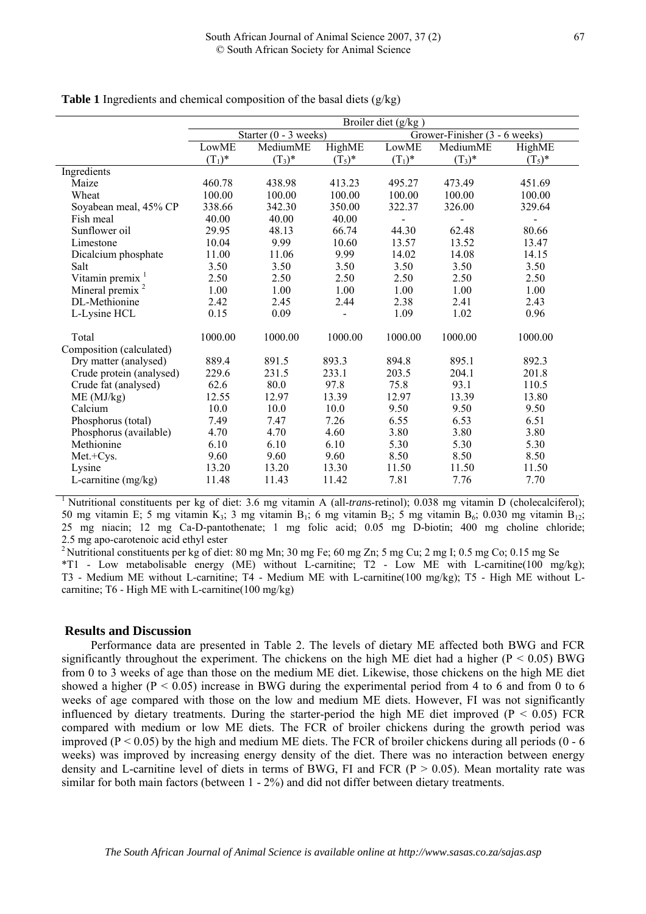|                             | Broiler diet (g/kg) |                         |           |           |                               |           |  |  |  |  |  |  |
|-----------------------------|---------------------|-------------------------|-----------|-----------|-------------------------------|-----------|--|--|--|--|--|--|
|                             |                     | Starter $(0 - 3$ weeks) |           |           | Grower-Finisher (3 - 6 weeks) |           |  |  |  |  |  |  |
|                             | LowME               | MediumME                | HighME    | LowME     | MediumME                      | HighME    |  |  |  |  |  |  |
|                             | $(T_1)^*$           | $(T_3)^*$               | $(T_5)^*$ | $(T_1)^*$ | $(T_3)^*$                     | $(T_5)^*$ |  |  |  |  |  |  |
| Ingredients                 |                     |                         |           |           |                               |           |  |  |  |  |  |  |
| Maize                       | 460.78              | 438.98                  | 413.23    | 495.27    | 473.49                        | 451.69    |  |  |  |  |  |  |
| Wheat                       | 100.00              | 100.00                  | 100.00    | 100.00    | 100.00                        | 100.00    |  |  |  |  |  |  |
| Soyabean meal, 45% CP       | 338.66              | 342.30                  | 350.00    | 322.37    | 326.00                        | 329.64    |  |  |  |  |  |  |
| Fish meal                   | 40.00               | 40.00                   | 40.00     |           |                               |           |  |  |  |  |  |  |
| Sunflower oil               | 29.95               | 48.13                   | 66.74     | 44.30     | 62.48                         | 80.66     |  |  |  |  |  |  |
| Limestone                   | 10.04               | 9.99                    | 10.60     | 13.57     | 13.52                         | 13.47     |  |  |  |  |  |  |
| Dicalcium phosphate         | 11.00               | 11.06                   | 9.99      | 14.02     | 14.08                         | 14.15     |  |  |  |  |  |  |
| Salt                        | 3.50                | 3.50                    | 3.50      | 3.50      | 3.50                          | 3.50      |  |  |  |  |  |  |
| Vitamin premix <sup>1</sup> | 2.50                | 2.50                    | 2.50      | 2.50      | 2.50                          | 2.50      |  |  |  |  |  |  |
| Mineral premix <sup>2</sup> | 1.00                | 1.00                    | 1.00      | 1.00      | 1.00                          | 1.00      |  |  |  |  |  |  |
| DL-Methionine               | 2.42                | 2.45                    | 2.44      | 2.38      | 2.41                          | 2.43      |  |  |  |  |  |  |
| L-Lysine HCL                | 0.15                | 0.09                    |           | 1.09      | 1.02                          | 0.96      |  |  |  |  |  |  |
| Total                       | 1000.00             | 1000.00                 | 1000.00   | 1000.00   | 1000.00                       | 1000.00   |  |  |  |  |  |  |
| Composition (calculated)    |                     |                         |           |           |                               |           |  |  |  |  |  |  |
| Dry matter (analysed)       | 889.4               | 891.5                   | 893.3     | 894.8     | 895.1                         | 892.3     |  |  |  |  |  |  |
| Crude protein (analysed)    | 229.6               | 231.5                   | 233.1     | 203.5     | 204.1                         | 201.8     |  |  |  |  |  |  |
| Crude fat (analysed)        | 62.6                | 80.0                    | 97.8      | 75.8      | 93.1                          | 110.5     |  |  |  |  |  |  |
| ME (MJ/kg)                  | 12.55               | 12.97                   | 13.39     | 12.97     | 13.39                         | 13.80     |  |  |  |  |  |  |
| Calcium                     | 10.0                | 10.0                    | 10.0      | 9.50      | 9.50                          | 9.50      |  |  |  |  |  |  |
| Phosphorus (total)          | 7.49                | 7.47                    | 7.26      | 6.55      | 6.53                          | 6.51      |  |  |  |  |  |  |
| Phosphorus (available)      | 4.70                | 4.70                    | 4.60      | 3.80      | 3.80                          | 3.80      |  |  |  |  |  |  |
| Methionine                  | 6.10                | 6.10                    | 6.10      | 5.30      | 5.30                          | 5.30      |  |  |  |  |  |  |
| Met.+Cys.                   | 9.60                | 9.60                    | 9.60      | 8.50      | 8.50                          | 8.50      |  |  |  |  |  |  |
| Lysine                      | 13.20               | 13.20                   | 13.30     | 11.50     | 11.50                         | 11.50     |  |  |  |  |  |  |
| L-carnitine (mg/kg)         | 11.48               | 11.43                   | 11.42     | 7.81      | 7.76                          | 7.70      |  |  |  |  |  |  |

**Table 1** Ingredients and chemical composition of the basal diets (g/kg)

1 Nutritional constituents per kg of diet: 3.6 mg vitamin A (all-*trans*-retinol); 0.038 mg vitamin D (cholecalciferol); 50 mg vitamin E; 5 mg vitamin K<sub>3</sub>; 3 mg vitamin B<sub>1</sub>; 6 mg vitamin B<sub>2</sub>; 5 mg vitamin B<sub>6</sub>; 0.030 mg vitamin B<sub>12</sub>; 25 mg niacin; 12 mg Ca-D-pantothenate; 1 mg folic acid; 0.05 mg D-biotin; 400 mg choline chloride;

2.5 mg apo-carotenoic acid ethyl ester 2 Nutritional constituents per kg of diet: 80 mg Mn; 30 mg Fe; 60 mg Zn; 5 mg Cu; 2 mg I; 0.5 mg Co; 0.15 mg Se \*T1 - Low metabolisable energy (ME) without L-carnitine; T2 - Low ME with L-carnitine(100 mg/kg); T3 - Medium ME without L-carnitine; T4 - Medium ME with L-carnitine(100 mg/kg); T5 - High ME without Lcarnitine; T6 - High ME with L-carnitine(100 mg/kg)

## **Results and Discussion**

Performance data are presented in Table 2. The levels of dietary ME affected both BWG and FCR significantly throughout the experiment. The chickens on the high ME diet had a higher ( $P < 0.05$ ) BWG from 0 to 3 weeks of age than those on the medium ME diet. Likewise, those chickens on the high ME diet showed a higher ( $P < 0.05$ ) increase in BWG during the experimental period from 4 to 6 and from 0 to 6 weeks of age compared with those on the low and medium ME diets. However, FI was not significantly influenced by dietary treatments. During the starter-period the high ME diet improved ( $P < 0.05$ ) FCR compared with medium or low ME diets. The FCR of broiler chickens during the growth period was improved ( $P < 0.05$ ) by the high and medium ME diets. The FCR of broiler chickens during all periods (0 - 6 weeks) was improved by increasing energy density of the diet. There was no interaction between energy density and L-carnitine level of diets in terms of BWG, FI and FCR ( $P > 0.05$ ). Mean mortality rate was similar for both main factors (between 1 - 2%) and did not differ between dietary treatments.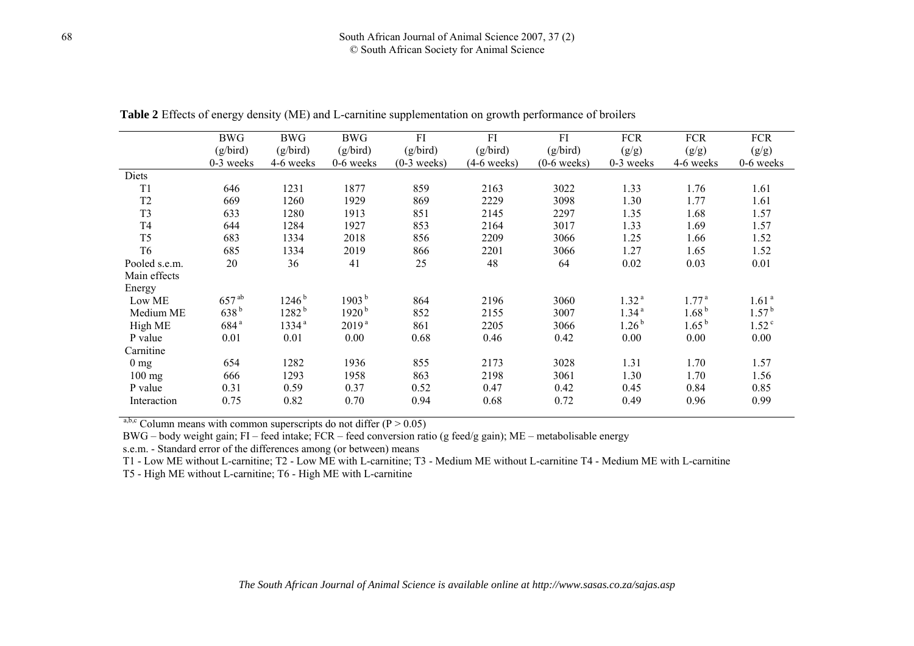|                | <b>BWG</b>       | <b>BWG</b><br><b>BWG</b> |                   | FI            | FI            | FI            | <b>FCR</b>        | <b>FCR</b>        | <b>FCR</b>        |
|----------------|------------------|--------------------------|-------------------|---------------|---------------|---------------|-------------------|-------------------|-------------------|
|                | (g/bird)         | (g/bird)                 | (g/bird)          | (g/bird)      | (g/bird)      | (g/bird)      | (g/g)             | (g/g)             | (g/g)             |
|                | 0-3 weeks        | 4-6 weeks                | $0-6$ weeks       | $(0-3$ weeks) | $(4-6$ weeks) | $(0-6$ weeks) | 0-3 weeks         | 4-6 weeks         | $0-6$ weeks       |
| Diets          |                  |                          |                   |               |               |               |                   |                   |                   |
| T <sub>1</sub> | 646              | 1231                     | 1877              | 859           | 2163          | 3022          | 1.33              | 1.76              | 1.61              |
| T <sub>2</sub> | 669              | 1260                     | 1929              | 869           | 2229          | 3098          | 1.30              | 1.77              | 1.61              |
| T <sub>3</sub> | 633              | 1280                     | 1913              | 851           | 2145          | 2297          | 1.35              | 1.68              | 1.57              |
| T <sub>4</sub> | 644              | 1284                     | 1927              | 853           | 2164          | 3017          | 1.33              | 1.69              | 1.57              |
| T <sub>5</sub> | 683              | 1334                     | 2018              | 856           | 2209          | 3066          | 1.25              | 1.66              | 1.52              |
| T <sub>6</sub> | 685              | 1334                     | 2019              | 866           | 2201          | 3066          | 1.27              | 1.65              | 1.52              |
| Pooled s.e.m.  | 20               | 36                       | 41                | 25            | 48            | 64            | 0.02              | 0.03              | 0.01              |
| Main effects   |                  |                          |                   |               |               |               |                   |                   |                   |
| Energy         |                  |                          |                   |               |               |               |                   |                   |                   |
| Low ME         | $657^{ab}$       | $1246^{b}$               | 1903 <sup>b</sup> | 864           | 2196          | 3060          | 1.32 <sup>a</sup> | 1.77 <sup>a</sup> | 1.61 <sup>a</sup> |
| Medium ME      | 638 <sup>b</sup> | $1282^{b}$               | 1920 <sup>b</sup> | 852           | 2155          | 3007          | 1.34 <sup>a</sup> | 1.68 <sup>b</sup> | 1.57 <sup>b</sup> |
| High ME        | 684 <sup>a</sup> | 1334 <sup>a</sup>        | 2019 <sup>a</sup> | 861           | 2205          | 3066          | 1.26 <sup>b</sup> | $1.65^{b}$        | 1.52 <sup>c</sup> |
| P value        | 0.01             | 0.01                     | 0.00              | 0.68          | 0.46          | 0.42          | 0.00              | 0.00              | 0.00              |
| Carnitine      |                  |                          |                   |               |               |               |                   |                   |                   |
| $0 \text{ mg}$ | 654              | 1282                     | 1936              | 855           | 2173          | 3028          | 1.31              | 1.70              | 1.57              |
| $100$ mg       | 666              | 1293                     | 1958              | 863           | 2198          | 3061          | 1.30              | 1.70              | 1.56              |
| P value        | 0.31             | 0.59                     | 0.37              | 0.52          | 0.47          | 0.42          | 0.45              | 0.84              | 0.85              |
| Interaction    | 0.75             | 0.82                     | 0.70              | 0.94          | 0.68          | 0.72          | 0.49              | 0.96              | 0.99              |
|                |                  |                          |                   |               |               |               |                   |                   |                   |

**Table 2** Effects of energy density (ME) and L-carnitine supplementation on growth performance of broilers

<sup>a,b,c</sup> Column means with common superscripts do not differ ( $P > 0.05$ )

BWG – body weight gain; FI – feed intake; FCR – feed conversion ratio (g feed/g gain); ME – metabolisable energy

s.e.m. - Standard error of the differences among (or between) means

T1 - Low ME without L-carnitine; T2 - Low ME with L-carnitine; T3 - Medium ME without L-carnitine T4 - Medium ME with L-carnitine

T5 - High ME without L-carnitine; T6 - High ME with L-carnitine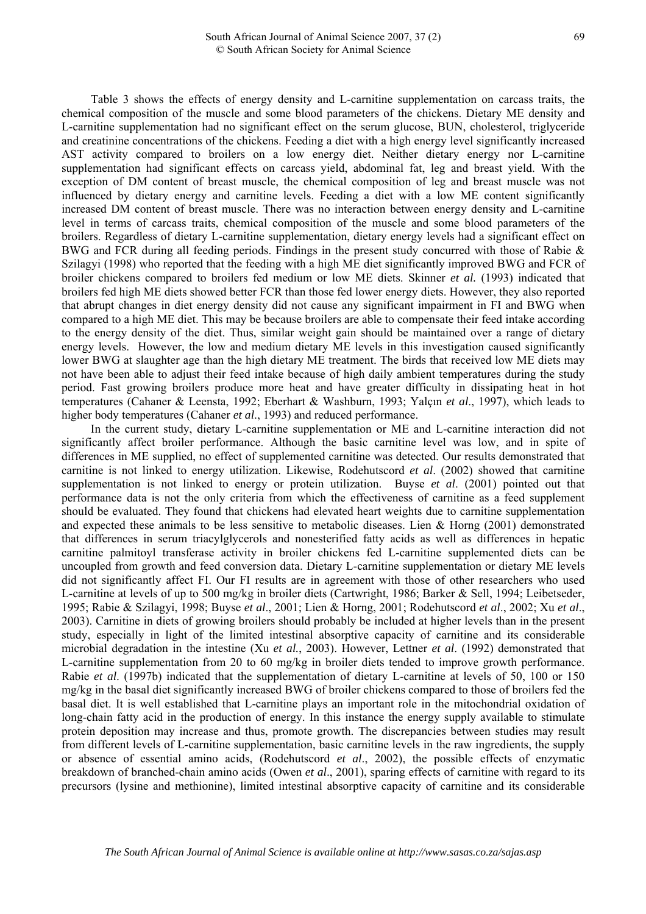Table 3 shows the effects of energy density and L-carnitine supplementation on carcass traits, the chemical composition of the muscle and some blood parameters of the chickens. Dietary ME density and L-carnitine supplementation had no significant effect on the serum glucose, BUN, cholesterol, triglyceride and creatinine concentrations of the chickens. Feeding a diet with a high energy level significantly increased AST activity compared to broilers on a low energy diet. Neither dietary energy nor L-carnitine supplementation had significant effects on carcass yield, abdominal fat, leg and breast yield. With the exception of DM content of breast muscle, the chemical composition of leg and breast muscle was not influenced by dietary energy and carnitine levels. Feeding a diet with a low ME content significantly increased DM content of breast muscle. There was no interaction between energy density and L-carnitine level in terms of carcass traits, chemical composition of the muscle and some blood parameters of the broilers. Regardless of dietary L-carnitine supplementation, dietary energy levels had a significant effect on BWG and FCR during all feeding periods. Findings in the present study concurred with those of Rabie & Szilagyi (1998) who reported that the feeding with a high ME diet significantly improved BWG and FCR of broiler chickens compared to broilers fed medium or low ME diets. Skinner *et al.* (1993) indicated that broilers fed high ME diets showed better FCR than those fed lower energy diets. However, they also reported that abrupt changes in diet energy density did not cause any significant impairment in FI and BWG when compared to a high ME diet. This may be because broilers are able to compensate their feed intake according to the energy density of the diet. Thus, similar weight gain should be maintained over a range of dietary energy levels. However, the low and medium dietary ME levels in this investigation caused significantly lower BWG at slaughter age than the high dietary ME treatment. The birds that received low ME diets may not have been able to adjust their feed intake because of high daily ambient temperatures during the study period. Fast growing broilers produce more heat and have greater difficulty in dissipating heat in hot temperatures (Cahaner & Leensta, 1992; Eberhart & Washburn, 1993; Yalçın *et al*., 1997), which leads to higher body temperatures (Cahaner *et al*., 1993) and reduced performance.

In the current study, dietary L-carnitine supplementation or ME and L-carnitine interaction did not significantly affect broiler performance. Although the basic carnitine level was low, and in spite of differences in ME supplied, no effect of supplemented carnitine was detected. Our results demonstrated that carnitine is not linked to energy utilization. Likewise, Rodehutscord *et al*. (2002) showed that carnitine supplementation is not linked to energy or protein utilization. Buyse *et al*. (2001) pointed out that performance data is not the only criteria from which the effectiveness of carnitine as a feed supplement should be evaluated. They found that chickens had elevated heart weights due to carnitine supplementation and expected these animals to be less sensitive to metabolic diseases. Lien & Horng (2001) demonstrated that differences in serum triacylglycerols and nonesterified fatty acids as well as differences in hepatic carnitine palmitoyl transferase activity in broiler chickens fed L-carnitine supplemented diets can be uncoupled from growth and feed conversion data. Dietary L-carnitine supplementation or dietary ME levels did not significantly affect FI. Our FI results are in agreement with those of other researchers who used L-carnitine at levels of up to 500 mg/kg in broiler diets (Cartwright, 1986; Barker & Sell, 1994; Leibetseder, 1995; Rabie & Szilagyi, 1998; Buyse *et al*., 2001; Lien & Horng, 2001; Rodehutscord *et al*., 2002; Xu *et al*., 2003). Carnitine in diets of growing broilers should probably be included at higher levels than in the present study, especially in light of the limited intestinal absorptive capacity of carnitine and its considerable microbial degradation in the intestine (Xu *et al.*, 2003). However, Lettner *et al*. (1992) demonstrated that L-carnitine supplementation from 20 to 60 mg/kg in broiler diets tended to improve growth performance. Rabie *et al*. (1997b) indicated that the supplementation of dietary L-carnitine at levels of 50, 100 or 150 mg/kg in the basal diet significantly increased BWG of broiler chickens compared to those of broilers fed the basal diet. It is well established that L-carnitine plays an important role in the mitochondrial oxidation of long-chain fatty acid in the production of energy. In this instance the energy supply available to stimulate protein deposition may increase and thus, promote growth. The discrepancies between studies may result from different levels of L-carnitine supplementation, basic carnitine levels in the raw ingredients, the supply or absence of essential amino acids, (Rodehutscord *et al*., 2002), the possible effects of enzymatic breakdown of branched-chain amino acids (Owen *et al*., 2001), sparing effects of carnitine with regard to its precursors (lysine and methionine), limited intestinal absorptive capacity of carnitine and its considerable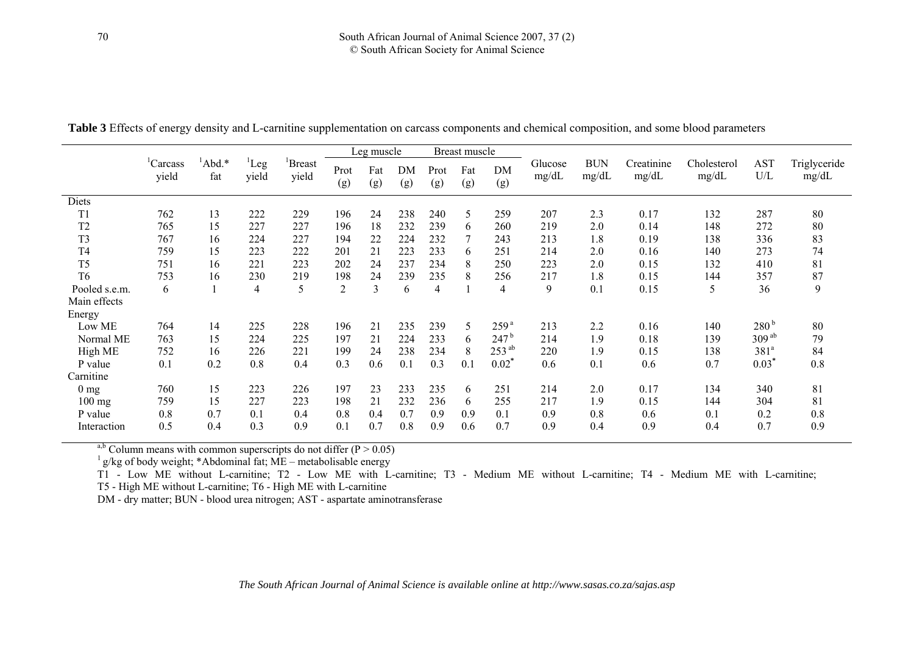|                |                               |              |                   | Leg muscle             |                |                | Breast muscle |                |            |                  |                  |                     |                     |                      |                         |                       |
|----------------|-------------------------------|--------------|-------------------|------------------------|----------------|----------------|---------------|----------------|------------|------------------|------------------|---------------------|---------------------|----------------------|-------------------------|-----------------------|
|                | <sup>1</sup> Carcass<br>yield | Abd.*<br>fat | $^1$ Leg<br>yield | <b>Breast</b><br>yield | Prot<br>(g)    | Fat<br>(g)     | DM<br>(g)     | Prot<br>(g)    | Fat<br>(g) | DM<br>(g)        | Glucose<br>mg/dL | <b>BUN</b><br>mg/dL | Creatinine<br>mg/dL | Cholesterol<br>mg/dL | <b>AST</b><br>$\rm U/L$ | Triglyceride<br>mg/dL |
| Diets          |                               |              |                   |                        |                |                |               |                |            |                  |                  |                     |                     |                      |                         |                       |
| T <sub>1</sub> | 762                           | 13           | 222               | 229                    | 196            | 24             | 238           | 240            | 5          | 259              | 207              | 2.3                 | 0.17                | 132                  | 287                     | 80                    |
| T <sub>2</sub> | 765                           | 15           | 227               | 227                    | 196            | 18             | 232           | 239            | 6          | 260              | 219              | 2.0                 | 0.14                | 148                  | 272                     | 80                    |
| T <sub>3</sub> | 767                           | 16           | 224               | 227                    | 194            | 22             | 224           | 232            | 7          | 243              | 213              | 1.8                 | 0.19                | 138                  | 336                     | 83                    |
| T <sub>4</sub> | 759                           | 15           | 223               | 222                    | 201            | 21             | 223           | 233            | 6          | 251              | 214              | 2.0                 | 0.16                | 140                  | 273                     | 74                    |
| T <sub>5</sub> | 751                           | 16           | 221               | 223                    | 202            | 24             | 237           | 234            | 8          | 250              | 223              | 2.0                 | 0.15                | 132                  | 410                     | 81                    |
| T <sub>6</sub> | 753                           | 16           | 230               | 219                    | 198            | 24             | 239           | 235            | 8          | 256              | 217              | 1.8                 | 0.15                | 144                  | 357                     | 87                    |
| Pooled s.e.m.  | 6                             |              | 4                 | 5                      | $\overline{2}$ | $\overline{3}$ | 6             | $\overline{4}$ |            | $\overline{4}$   | 9                | 0.1                 | 0.15                | 5                    | 36                      | 9                     |
| Main effects   |                               |              |                   |                        |                |                |               |                |            |                  |                  |                     |                     |                      |                         |                       |
| Energy         |                               |              |                   |                        |                |                |               |                |            |                  |                  |                     |                     |                      |                         |                       |
| Low ME         | 764                           | 14           | 225               | 228                    | 196            | 21             | 235           | 239            | 5          | 259 <sup>a</sup> | 213              | 2.2                 | 0.16                | 140                  | 280 <sup>b</sup>        | 80                    |
| Normal ME      | 763                           | 15           | 224               | 225                    | 197            | 21             | 224           | 233            | 6          | $247^{\rm b}$    | 214              | 1.9                 | 0.18                | 139                  | 309 <sup>ab</sup>       | 79                    |
| High ME        | 752                           | 16           | 226               | 221                    | 199            | 24             | 238           | 234            | 8          | $253^{ab}$       | 220              | 1.9                 | 0.15                | 138                  | 381 <sup>a</sup>        | 84                    |
| P value        | 0.1                           | 0.2          | 0.8               | 0.4                    | 0.3            | 0.6            | 0.1           | 0.3            | 0.1        | 0.02             | 0.6              | 0.1                 | 0.6                 | 0.7                  | 0.03                    | 0.8                   |
| Carnitine      |                               |              |                   |                        |                |                |               |                |            |                  |                  |                     |                     |                      |                         |                       |
| $0 \text{ mg}$ | 760                           | 15           | 223               | 226                    | 197            | 23             | 233           | 235            | 6          | 251              | 214              | 2.0                 | 0.17                | 134                  | 340                     | 81                    |
| $100$ mg       | 759                           | 15           | 227               | 223                    | 198            | 21             | 232           | 236            | 6          | 255              | 217              | 1.9                 | 0.15                | 144                  | 304                     | 81                    |
| P value        | 0.8                           | 0.7          | 0.1               | 0.4                    | 0.8            | 0.4            | 0.7           | 0.9            | 0.9        | 0.1              | 0.9              | 0.8                 | 0.6                 | 0.1                  | 0.2                     | 0.8                   |
| Interaction    | 0.5                           | 0.4          | 0.3               | 0.9                    | 0.1            | 0.7            | 0.8           | 0.9            | 0.6        | 0.7              | 0.9              | 0.4                 | 0.9                 | 0.4                  | 0.7                     | 0.9                   |

**Table 3** Effects of energy density and L-carnitine supplementation on carcass components and chemical composition, and some blood parameters

a,b Column means with common superscripts do not differ  $(P > 0.05)$ 

 $1 \text{ g/kg}$  of body weight; \*Abdominal fat; ME – metabolisable energy

T1 - Low ME without L-carnitine; T2 - Low ME with L-carnitine; T3 - Medium ME without L-carnitine; T4 - Medium ME with L-carnitine;

T5 - High ME without L-carnitine; T6 - High ME with L-carnitine

DM - dry matter; BUN - blood urea nitrogen; AST - aspartate aminotransferase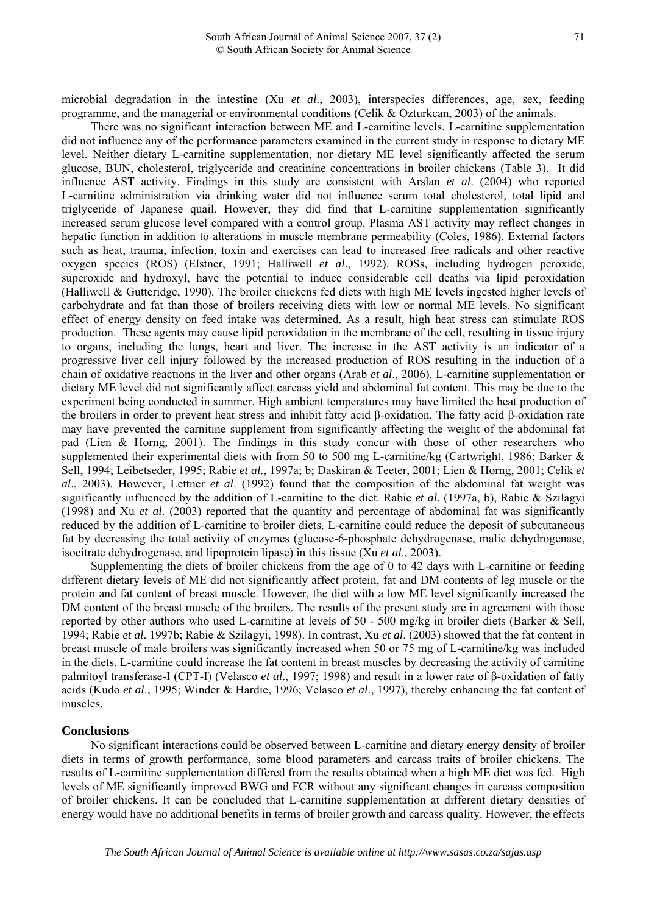microbial degradation in the intestine (Xu *et al*., 2003), interspecies differences, age, sex, feeding programme, and the managerial or environmental conditions (Celik & Ozturkcan, 2003) of the animals.

There was no significant interaction between ME and L-carnitine levels. L-carnitine supplementation did not influence any of the performance parameters examined in the current study in response to dietary ME level. Neither dietary L-carnitine supplementation, nor dietary ME level significantly affected the serum glucose, BUN, cholesterol, triglyceride and creatinine concentrations in broiler chickens (Table 3). It did influence AST activity. Findings in this study are consistent with Arslan *et al*. (2004) who reported L-carnitine administration via drinking water did not influence serum total cholesterol, total lipid and triglyceride of Japanese quail. However, they did find that L-carnitine supplementation significantly increased serum glucose level compared with a control group. Plasma AST activity may reflect changes in hepatic function in addition to alterations in muscle membrane permeability (Coles, 1986). External factors such as heat, trauma, infection, toxin and exercises can lead to increased free radicals and other reactive oxygen species (ROS) (Elstner, 1991; Halliwell *et al*., 1992). ROSs, including hydrogen peroxide, superoxide and hydroxyl, have the potential to induce considerable cell deaths via lipid peroxidation (Halliwell & Gutteridge, 1990). The broiler chickens fed diets with high ME levels ingested higher levels of carbohydrate and fat than those of broilers receiving diets with low or normal ME levels. No significant effect of energy density on feed intake was determined. As a result, high heat stress can stimulate ROS production. These agents may cause lipid peroxidation in the membrane of the cell, resulting in tissue injury to organs, including the lungs, heart and liver. The increase in the AST activity is an indicator of a progressive liver cell injury followed by the increased production of ROS resulting in the induction of a chain of oxidative reactions in the liver and other organs (Arab *et al*., 2006). L-carnitine supplementation or dietary ME level did not significantly affect carcass yield and abdominal fat content. This may be due to the experiment being conducted in summer. High ambient temperatures may have limited the heat production of the broilers in order to prevent heat stress and inhibit fatty acid β-oxidation. The fatty acid β-oxidation rate may have prevented the carnitine supplement from significantly affecting the weight of the abdominal fat pad (Lien & Horng, 2001). The findings in this study concur with those of other researchers who supplemented their experimental diets with from 50 to 500 mg L-carnitine/kg (Cartwright, 1986; Barker & Sell, 1994; Leibetseder, 1995; Rabie *et al*., 1997a; b; Daskiran & Teeter, 2001; Lien & Horng, 2001; Celik *et al*., 2003). However, Lettner *et al*. (1992) found that the composition of the abdominal fat weight was significantly influenced by the addition of L-carnitine to the diet. Rabie *et al.* (1997a, b), Rabie & Szilagyi (1998) and Xu *et al*. (2003) reported that the quantity and percentage of abdominal fat was significantly reduced by the addition of L-carnitine to broiler diets. L-carnitine could reduce the deposit of subcutaneous fat by decreasing the total activity of enzymes (glucose-6-phosphate dehydrogenase, malic dehydrogenase, isocitrate dehydrogenase, and lipoprotein lipase) in this tissue (Xu *et al*., 2003).

Supplementing the diets of broiler chickens from the age of 0 to 42 days with L-carnitine or feeding different dietary levels of ME did not significantly affect protein, fat and DM contents of leg muscle or the protein and fat content of breast muscle. However, the diet with a low ME level significantly increased the DM content of the breast muscle of the broilers. The results of the present study are in agreement with those reported by other authors who used L-carnitine at levels of 50 - 500 mg/kg in broiler diets (Barker & Sell, 1994; Rabie *et al*. 1997b; Rabie & Szilagyi, 1998). In contrast, Xu *et al*. (2003) showed that the fat content in breast muscle of male broilers was significantly increased when 50 or 75 mg of L-carnitine/kg was included in the diets. L-carnitine could increase the fat content in breast muscles by decreasing the activity of carnitine palmitoyl transferase-I (CPT-I) (Velasco *et al*., 1997; 1998) and result in a lower rate of β-oxidation of fatty acids (Kudo *et al*., 1995; Winder & Hardie, 1996; Velasco *et al*., 1997), thereby enhancing the fat content of muscles.

#### **Conclusions**

No significant interactions could be observed between L-carnitine and dietary energy density of broiler diets in terms of growth performance, some blood parameters and carcass traits of broiler chickens. The results of L-carnitine supplementation differed from the results obtained when a high ME diet was fed. High levels of ME significantly improved BWG and FCR without any significant changes in carcass composition of broiler chickens. It can be concluded that L-carnitine supplementation at different dietary densities of energy would have no additional benefits in terms of broiler growth and carcass quality. However, the effects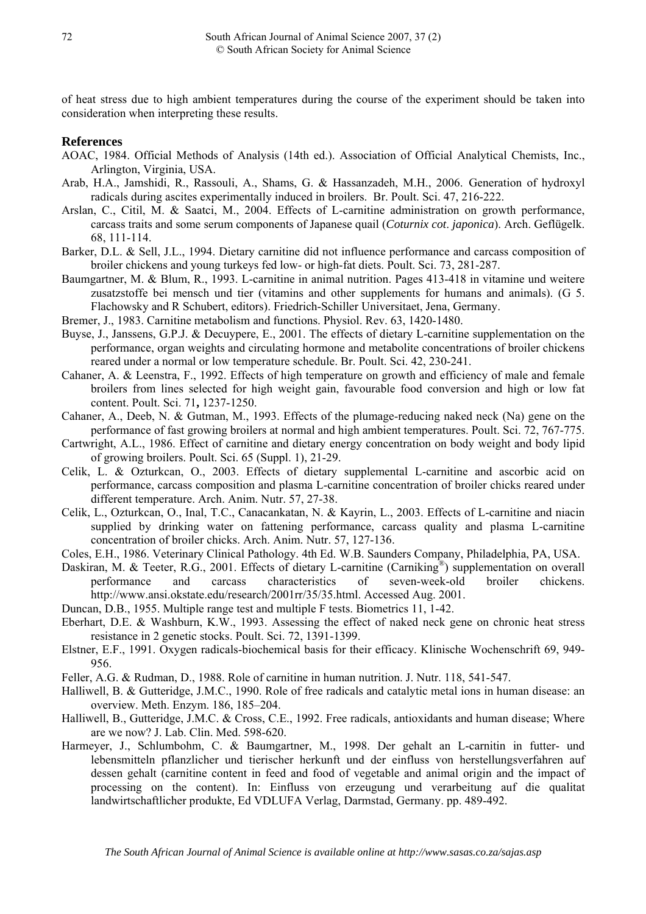of heat stress due to high ambient temperatures during the course of the experiment should be taken into consideration when interpreting these results.

### **References**

- AOAC, 1984. Official Methods of Analysis (14th ed.). Association of Official Analytical Chemists, Inc., Arlington, Virginia, USA.
- Arab, H.A., Jamshidi, R., Rassouli, A., Shams, G. & Hassanzadeh, M.H., 2006. Generation of hydroxyl radicals during ascites experimentally induced in broilers. Br. Poult. Sci. 47, 216-222.
- Arslan, C., Citil, M. & Saatci, M., 2004. Effects of L-carnitine administration on growth performance, carcass traits and some serum components of Japanese quail (*Coturnix cot*. *japonica*). Arch. Geflügelk. 68, 111-114.
- Barker, D.L. & Sell, J.L., 1994. Dietary carnitine did not influence performance and carcass composition of broiler chickens and young turkeys fed low- or high-fat diets. Poult. Sci. 73, 281-287.
- Baumgartner, M. & Blum, R., 1993. L-carnitine in animal nutrition. Pages 413-418 in vitamine und weitere zusatzstoffe bei mensch und tier (vitamins and other supplements for humans and animals). (G 5. Flachowsky and R Schubert, editors). Friedrich-Schiller Universitaet, Jena, Germany.
- Bremer, J., 1983. Carnitine metabolism and functions. Physiol. Rev. 63, 1420-1480.
- Buyse, J., Janssens, G.P.J. & Decuypere, E., 2001. The effects of dietary L-carnitine supplementation on the performance, organ weights and circulating hormone and metabolite concentrations of broiler chickens reared under a normal or low temperature schedule. Br. Poult. Sci. 42, 230-241.
- Cahaner, A. & Leenstra, F., 1992. Effects of high temperature on growth and efficiency of male and female broilers from lines selected for high weight gain, favourable food conversion and high or low fat content. Poult. Sci. 71**,** 1237-1250.
- Cahaner, A., Deeb, N. & Gutman, M., 1993. Effects of the plumage-reducing naked neck (Na) gene on the performance of fast growing broilers at normal and high ambient temperatures. Poult. Sci. 72, 767-775.
- Cartwright, A.L., 1986. Effect of carnitine and dietary energy concentration on body weight and body lipid of growing broilers. Poult. Sci. 65 (Suppl. 1), 21-29.
- Celik, L. & Ozturkcan, O., 2003. Effects of dietary supplemental L-carnitine and ascorbic acid on performance, carcass composition and plasma L-carnitine concentration of broiler chicks reared under different temperature. Arch. Anim. Nutr. 57, 27-38.
- Celik, L., Ozturkcan, O., Inal, T.C., Canacankatan, N. & Kayrin, L., 2003. Effects of L-carnitine and niacin supplied by drinking water on fattening performance, carcass quality and plasma L-carnitine concentration of broiler chicks. Arch. Anim. Nutr. 57, 127-136.
- Coles, E.H., 1986. Veterinary Clinical Pathology. 4th Ed. W.B. Saunders Company, Philadelphia, PA, USA.
- Daskiran, M. & Teeter, R.G., 2001. Effects of dietary L-carnitine (Carniking<sup>®</sup>) supplementation on overall performance and carcass characteristics of seven-week-old broiler chickens. [http://www.ansi.okstate.edu/research/2001rr/35/35.html.](http://www.ansi.okstate.edu/research/2001rr/35/35.html) Accessed Aug. 2001.
- Duncan, D.B., 1955. Multiple range test and multiple F tests. Biometrics 11, 1-42.
- Eberhart, D.E. & Washburn, K.W., 1993. Assessing the effect of naked neck gene on chronic heat stress resistance in 2 genetic stocks. Poult. Sci. 72, 1391-1399.
- Elstner, E.F., 1991. Oxygen radicals-biochemical basis for their efficacy. Klinische Wochenschrift 69, 949- 956.
- Feller, A.G. & Rudman, D., 1988. Role of carnitine in human nutrition. J. Nutr. 118, 541-547.
- Halliwell, B. & Gutteridge, J.M.C., 1990. Role of free radicals and catalytic metal ions in human disease: an overview. Meth. Enzym. 186, 185–204.
- Halliwell, B., Gutteridge, J.M.C. & Cross, C.E., 1992. Free radicals, antioxidants and human disease; Where are we now? J. Lab. Clin. Med. 598-620.
- Harmeyer, J., Schlumbohm, C. & Baumgartner, M., 1998. Der gehalt an L-carnitin in futter- und lebensmitteln pflanzlicher und tierischer herkunft und der einfluss von herstellungsverfahren auf dessen gehalt (carnitine content in feed and food of vegetable and animal origin and the impact of processing on the content). In: Einfluss von erzeugung und verarbeitung auf die qualitat landwirtschaftlicher produkte, Ed VDLUFA Verlag, Darmstad, Germany. pp. 489-492.